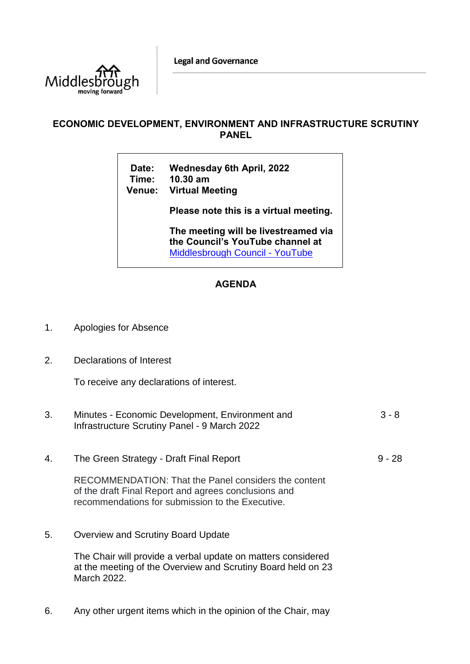**Legal and Governance** 



## **ECONOMIC DEVELOPMENT, ENVIRONMENT AND INFRASTRUCTURE SCRUTINY PANEL**

| <b>Date:</b> | <b>Wednesday 6th April, 2022</b> |
|--------------|----------------------------------|
|              | Time: 10.30 am                   |
|              | Venue: Virtual Meeting           |

**Please note this is a virtual meeting.** 

**The meeting will be livestreamed via the Council's YouTube channel at**  [Middlesbrough Council -](https://www.youtube.com/user/middlesbroughcouncil) YouTube

## **AGENDA**

- 1. Apologies for Absence
- 2. Declarations of Interest

To receive any declarations of interest.

| 3. | Minutes - Economic Development, Environment and<br>Infrastructure Scrutiny Panel - 9 March 2022                                                                  | $3 - 8$  |
|----|------------------------------------------------------------------------------------------------------------------------------------------------------------------|----------|
| 4. | The Green Strategy - Draft Final Report                                                                                                                          | $9 - 28$ |
|    | RECOMMENDATION: That the Panel considers the content<br>of the draft Final Report and agrees conclusions and<br>recommendations for submission to the Executive. |          |

5. Overview and Scrutiny Board Update

The Chair will provide a verbal update on matters considered at the meeting of the Overview and Scrutiny Board held on 23 March 2022.

6. Any other urgent items which in the opinion of the Chair, may